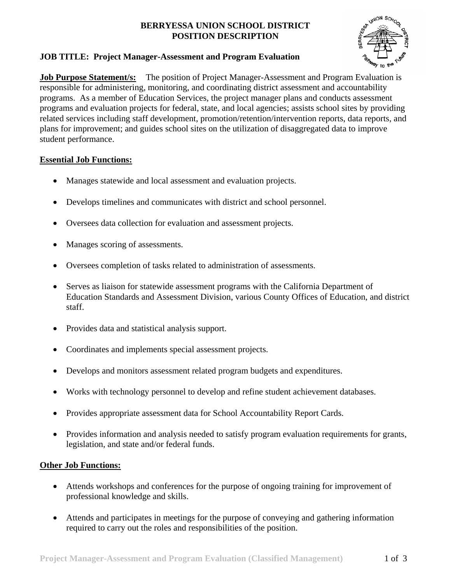#### **BERRYESSA UNION SCHOOL DISTRICT POSITION DESCRIPTION**

## **JOB TITLE: Project Manager-Assessment and Program Evaluation**



**Job Purpose Statement/s:** The position of Project Manager-Assessment and Program Evaluation is responsible for administering, monitoring, and coordinating district assessment and accountability programs. As a member of Education Services, the project manager plans and conducts assessment programs and evaluation projects for federal, state, and local agencies; assists school sites by providing related services including staff development, promotion/retention/intervention reports, data reports, and plans for improvement; and guides school sites on the utilization of disaggregated data to improve student performance.

### **Essential Job Functions:**

- Manages statewide and local assessment and evaluation projects.
- Develops timelines and communicates with district and school personnel.
- Oversees data collection for evaluation and assessment projects.
- Manages scoring of assessments.
- Oversees completion of tasks related to administration of assessments.
- Serves as liaison for statewide assessment programs with the California Department of Education Standards and Assessment Division, various County Offices of Education, and district staff.
- Provides data and statistical analysis support.
- Coordinates and implements special assessment projects.
- Develops and monitors assessment related program budgets and expenditures.
- Works with technology personnel to develop and refine student achievement databases.
- Provides appropriate assessment data for School Accountability Report Cards.
- Provides information and analysis needed to satisfy program evaluation requirements for grants, legislation, and state and/or federal funds.

#### **Other Job Functions:**

- Attends workshops and conferences for the purpose of ongoing training for improvement of professional knowledge and skills.
- Attends and participates in meetings for the purpose of conveying and gathering information required to carry out the roles and responsibilities of the position.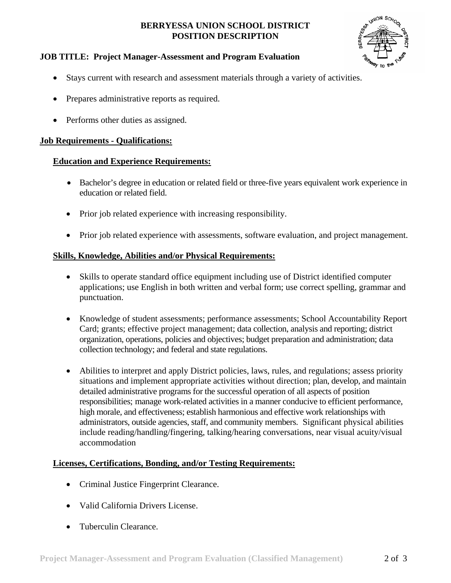#### **BERRYESSA UNION SCHOOL DISTRICT POSITION DESCRIPTION**



## **JOB TITLE: Project Manager-Assessment and Program Evaluation**

- Stays current with research and assessment materials through a variety of activities.
- Prepares administrative reports as required.
- Performs other duties as assigned.

### **Job Requirements - Qualifications:**

## **Education and Experience Requirements:**

- Bachelor's degree in education or related field or three-five years equivalent work experience in education or related field.
- Prior job related experience with increasing responsibility.
- Prior job related experience with assessments, software evaluation, and project management.

## **Skills, Knowledge, Abilities and/or Physical Requirements:**

- Skills to operate standard office equipment including use of District identified computer applications; use English in both written and verbal form; use correct spelling, grammar and punctuation.
- Knowledge of student assessments; performance assessments; School Accountability Report Card; grants; effective project management; data collection, analysis and reporting; district organization, operations, policies and objectives; budget preparation and administration; data collection technology; and federal and state regulations.
- Abilities to interpret and apply District policies, laws, rules, and regulations; assess priority situations and implement appropriate activities without direction; plan, develop, and maintain detailed administrative programs for the successful operation of all aspects of position responsibilities; manage work-related activities in a manner conducive to efficient performance, high morale, and effectiveness; establish harmonious and effective work relationships with administrators, outside agencies, staff, and community members. Significant physical abilities include reading/handling/fingering, talking/hearing conversations, near visual acuity/visual accommodation

# **Licenses, Certifications, Bonding, and/or Testing Requirements:**

- Criminal Justice Fingerprint Clearance.
- Valid California Drivers License.
- Tuberculin Clearance.